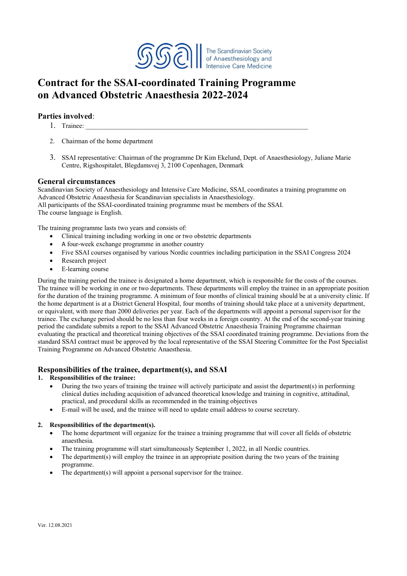

# **Contract for the SSAI-coordinated Training Programme on Advanced Obstetric Anaesthesia 2022-2024**

## **Parties involved**:

- 1. Trainee:
- 2. Chairman of the home department
- 3. SSAI representative: Chairman of the programme Dr Kim Ekelund, Dept. of Anaesthesiology, Juliane Marie Centre, Rigshospitalet, Blegdamsvej 3, 2100 Copenhagen, Denmark

## **General circumstances**

Scandinavian Society of Anaesthesiology and Intensive Care Medicine, SSAI, coordinates a training programme on Advanced Obstetric Anaesthesia for Scandinavian specialists in Anaesthesiology. All participants of the SSAI-coordinated training programme must be members of the SSAI. The course language is English.

The training programme lasts two years and consists of:

- Clinical training including working in one or two obstetric departments
- A four-week exchange programme in another country
- Five SSAI courses organised by various Nordic countries including participation in the SSAI Congress 2024
- Research project
- E-learning course

During the training period the trainee is designated a home department, which is responsible for the costs of the courses. The trainee will be working in one or two departments. These departments will employ the trainee in an appropriate position for the duration of the training programme. A minimum of four months of clinical training should be at a university clinic. If the home department is at a District General Hospital, four months of training should take place at a university department, or equivalent, with more than 2000 deliveries per year. Each of the departments will appoint a personal supervisor for the trainee. The exchange period should be no less than four weeks in a foreign country. At the end of the second-year training period the candidate submits a report to the SSAI Advanced Obstetric Anaesthesia Training Programme chairman evaluating the practical and theoretical training objectives of the SSAI coordinated training programme. Deviations from the standard SSAI contract must be approved by the local representative of the SSAI Steering Committee for the Post Specialist Training Programme on Advanced Obstetric Anaesthesia.

## **Responsibilities of the trainee, department(s), and SSAI**

#### **1. Responsibilities of the trainee:**

- During the two years of training the trainee will actively participate and assist the department(s) in performing clinical duties including acquisition of advanced theoretical knowledge and training in cognitive, attitudinal, practical, and procedural skills as recommended in the training objectives
- E-mail will be used, and the trainee will need to update email address to course secretary.

## **2. Responsibilities of the department(s).**

- The home department will organize for the trainee a training programme that will cover all fields of obstetric anaesthesia.
- The training programme will start simultaneously September 1, 2022, in all Nordic countries.
- The department(s) will employ the trainee in an appropriate position during the two years of the training programme.
- The department(s) will appoint a personal supervisor for the trainee.